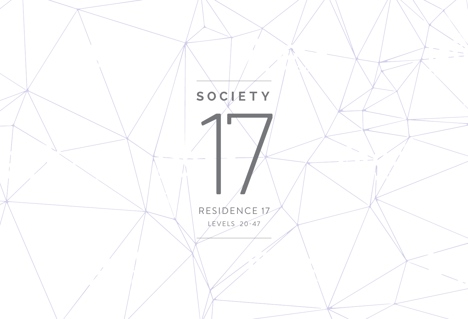